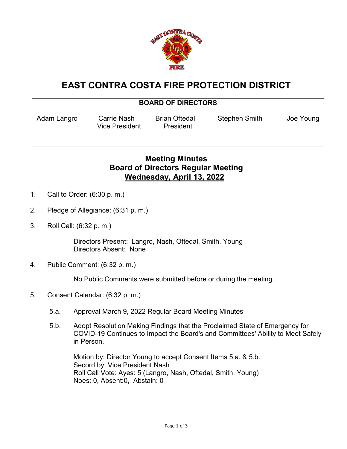

## **EAST CONTRA COSTA FIRE PROTECTION DISTRICT**

## **BOARD OF DIRECTORS**

Vice President President

Adam Langro Carrie Nash Brian Oftedal Stephen Smith Joe Young

## **Meeting Minutes Board of Directors Regular Meeting Wednesday, April 13, 2022**

- 1. Call to Order: (6:30 p. m.)
- 2. Pledge of Allegiance: (6:31 p. m.)
- 3. Roll Call: (6:32 p. m.)

Directors Present: Langro, Nash, Oftedal, Smith, Young Directors Absent: None

4. Public Comment: (6:32 p. m.)

No Public Comments were submitted before or during the meeting.

- 5. Consent Calendar: (6:32 p. m.)
	- 5.a. Approval March 9, 2022 Regular Board Meeting Minutes
	- 5.b. Adopt Resolution Making Findings that the Proclaimed State of Emergency for COVID-19 Continues to Impact the Board's and Committees' Ability to Meet Safely in Person.

Motion by: Director Young to accept Consent Items 5.a. & 5.b. Secord by: Vice President Nash Roll Call Vote: Ayes: 5 (Langro, Nash, Oftedal, Smith, Young) Noes: 0, Absent:0, Abstain: 0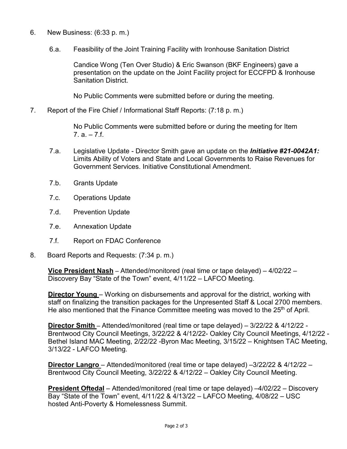- 6. New Business: (6:33 p. m.)
	- 6.a. Feasibility of the Joint Training Facility with Ironhouse Sanitation District

Candice Wong (Ten Over Studio) & Eric Swanson (BKF Engineers) gave a presentation on the update on the Joint Facility project for ECCFPD & Ironhouse Sanitation District.

No Public Comments were submitted before or during the meeting.

7. Report of the Fire Chief / Informational Staff Reports: (7:18 p. m.)

No Public Comments were submitted before or during the meeting for Item  $7. a. - 7.f.$ 

- 7.a. Legislative Update Director Smith gave an update on the *Initiative #21-0042A1:* Limits Ability of Voters and State and Local Governments to Raise Revenues for Government Services. Initiative Constitutional Amendment.
- 7.b. Grants Update
- 7.c. Operations Update
- 7.d. Prevention Update
- 7.e. Annexation Update
- 7.f. Report on FDAC Conference
- 8. Board Reports and Requests: (7:34 p. m.)

**Vice President Nash** – Attended/monitored (real time or tape delayed) – 4/02/22 – Discovery Bay "State of the Town" event, 4/11/22 – LAFCO Meeting.

**Director Young** – Working on disbursements and approval for the district, working with staff on finalizing the transition packages for the Unpresented Staff & Local 2700 members. He also mentioned that the Finance Committee meeting was moved to the 25<sup>th</sup> of April.

**Director Smith** – Attended/monitored (real time or tape delayed) – 3/22/22 & 4/12/22 - Brentwood City Council Meetings, 3/22/22 & 4/12/22- Oakley City Council Meetings, 4/12/22 - Bethel Island MAC Meeting, 2/22/22 -Byron Mac Meeting, 3/15/22 – Knightsen TAC Meeting, 3/13/22 - LAFCO Meeting.

**Director Langro** – Attended/monitored (real time or tape delayed) –3/22/22 & 4/12/22 – Brentwood City Council Meeting, 3/22/22 & 4/12/22 – Oakley City Council Meeting.

**President Oftedal** – Attended/monitored (real time or tape delayed) –4/02/22 – Discovery Bay "State of the Town" event, 4/11/22 & 4/13/22 – LAFCO Meeting, 4/08/22 – USC hosted Anti-Poverty & Homelessness Summit.